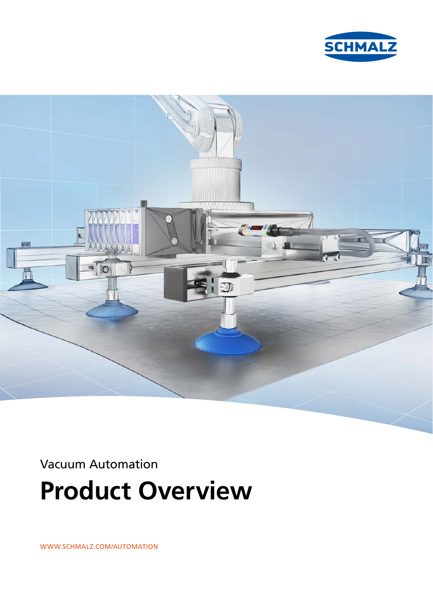



Vacuum Automation

**Product Overview**

WWW.SCHMALZ.COM/AUTOMATION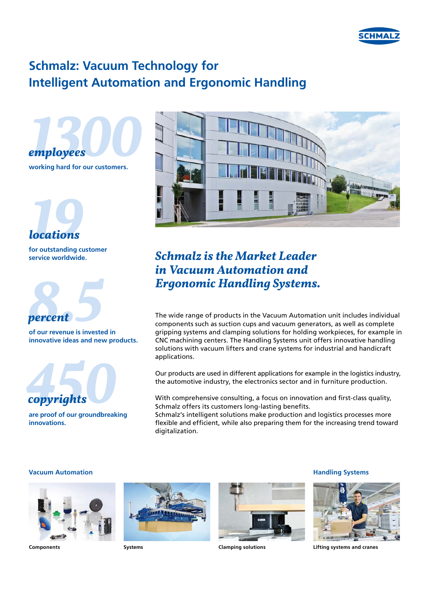

# **Schmalz: Vacuum Technology for Intelligent Automation and Ergonomic Handling**





**service worldwide.**



**innovative ideas and new products.**



**are proof of our groundbreaking innovations.**



### *Schmalz is the Market Leader in Vacuum Automation and Ergonomic Handling Systems.*

The wide range of products in the Vacuum Automation unit includes individual components such as suction cups and vacuum generators, as well as complete gripping systems and clamping solutions for holding workpieces, for example in CNC machining centers. The Handling Systems unit offers innovative handling solutions with vacuum lifters and crane systems for industrial and handicraft applications.

Our products are used in different applications for example in the logistics industry, the automotive industry, the electronics sector and in furniture production.

With comprehensive consulting, a focus on innovation and first-class quality, Schmalz offers its customers long-lasting benefits.

Schmalz's intelligent solutions make production and logistics processes more flexible and efficient, while also preparing them for the increasing trend toward digitalization.

### **Vacuum Automation Handling Systems**







**Clamping solutions** 



**Components Lifting systems and cranes**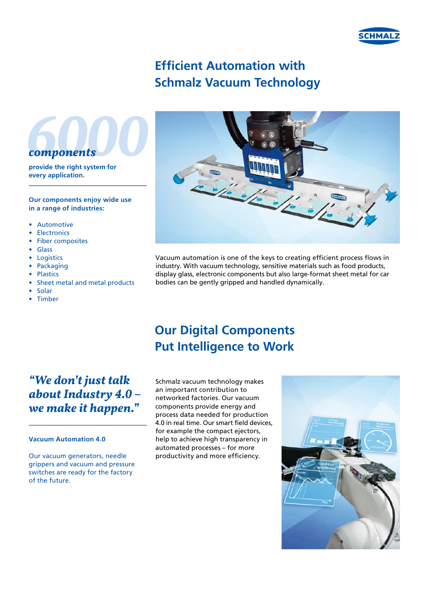

# **Efficient Automation with Schmalz Vacuum Technology**



**provide the right system for every application.**

#### **Our components enjoy wide use in a range of industries:**

- Automotive
- **Electronics**
- Fiber composites
- Glass
- **Logistics**
- Packaging
- Plastics
- Sheet metal and metal products
- Solar • Timber



Vacuum automation is one of the keys to creating efficient process flows in industry. With vacuum technology, sensitive materials such as food products, display glass, electronic components but also large-format sheet metal for car bodies can be gently gripped and handled dynamically.

### **Our Digital Components Put Intelligence to Work**

### *"We don't just talk about Industry 4.0 – we make it happen."*

#### **Vacuum Automation 4.0**

Our vacuum generators, needle grippers and vacuum and pressure switches are ready for the factory of the future.

Schmalz vacuum technology makes an important contribution to networked factories. Our vacuum components provide energy and process data needed for production 4.0 in real time. Our smart field devices, for example the compact ejectors, help to achieve high transparency in automated processes – for more productivity and more efficiency.

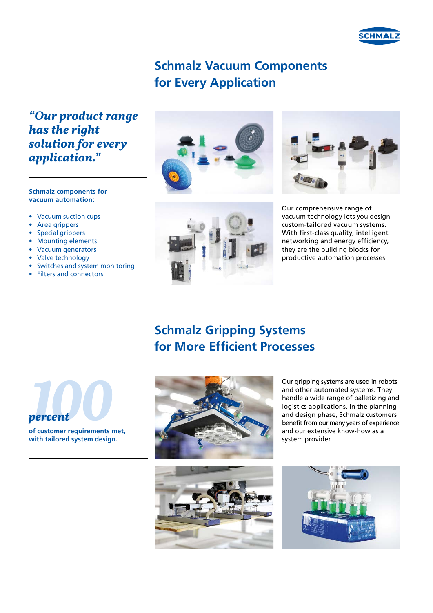

### **Schmalz Vacuum Components for Every Application**

*"Our product range has the right solution for every application."*

#### **Schmalz components for vacuum automation:**

- Vacuum suction cups
- Area grippers
- Special grippers
- Mounting elements
- Vacuum generators
- Valve technology
- Switches and system monitoring
- Filters and connectors







Our comprehensive range of vacuum technology lets you design custom-tailored vacuum systems. With first-class quality, intelligent networking and energy efficiency, they are the building blocks for productive automation processes.

# **Schmalz Gripping Systems for More Efficient Processes**



**with tailored system design.**





Our gripping systems are used in robots and other automated systems. They handle a wide range of palletizing and logistics applications. In the planning and design phase, Schmalz customers benefit from our many years of experience and our extensive know-how as a system provider.

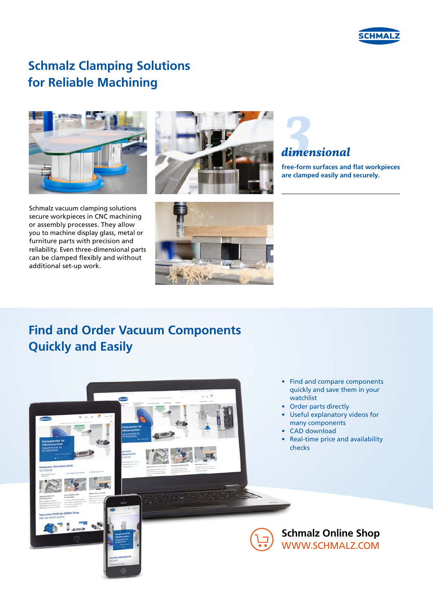

## **Schmalz Clamping Solutions for Reliable Machining**









### *3dimensional*

**free-form surfaces and flat workpieces are clamped easily and securely.**

# **Find and Order Vacuum Components Quickly and Easily**

- Find and compare components quickly and save them in your watchlist
- Order parts directly
- Useful explanatory videos for many components
- CAD download
- Real-time price and availability checks